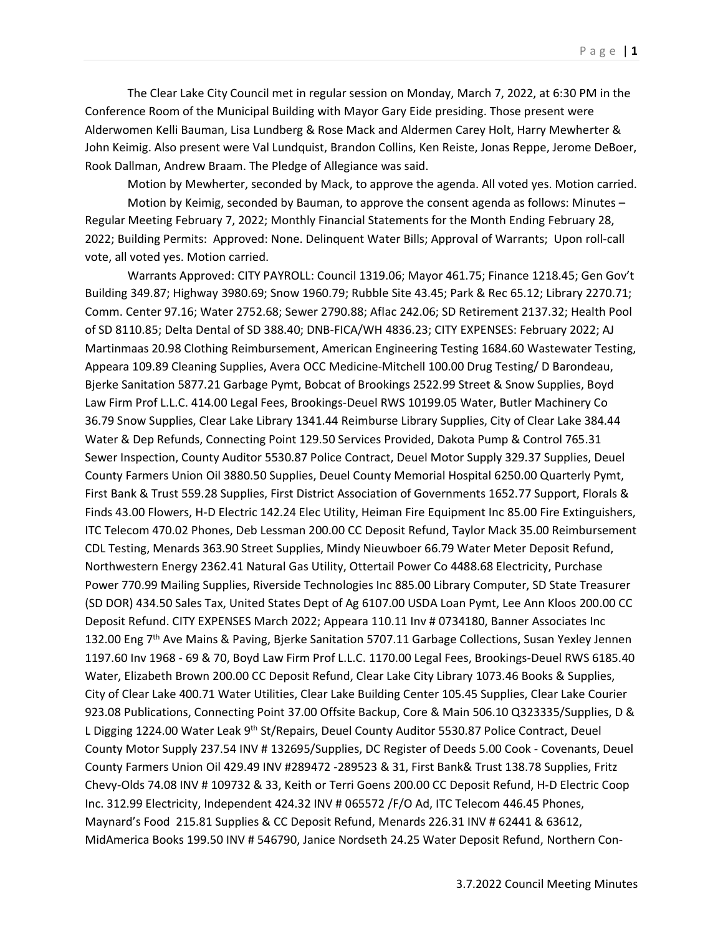The Clear Lake City Council met in regular session on Monday, March 7, 2022, at 6:30 PM in the Conference Room of the Municipal Building with Mayor Gary Eide presiding. Those present were Alderwomen Kelli Bauman, Lisa Lundberg & Rose Mack and Aldermen Carey Holt, Harry Mewherter & John Keimig. Also present were Val Lundquist, Brandon Collins, Ken Reiste, Jonas Reppe, Jerome DeBoer, Rook Dallman, Andrew Braam. The Pledge of Allegiance was said.

Motion by Mewherter, seconded by Mack, to approve the agenda. All voted yes. Motion carried. Motion by Keimig, seconded by Bauman, to approve the consent agenda as follows: Minutes – Regular Meeting February 7, 2022; Monthly Financial Statements for the Month Ending February 28, 2022; Building Permits: Approved: None. Delinquent Water Bills; Approval of Warrants; Upon roll-call vote, all voted yes. Motion carried.

Warrants Approved: CITY PAYROLL: Council 1319.06; Mayor 461.75; Finance 1218.45; Gen Gov't Building 349.87; Highway 3980.69; Snow 1960.79; Rubble Site 43.45; Park & Rec 65.12; Library 2270.71; Comm. Center 97.16; Water 2752.68; Sewer 2790.88; Aflac 242.06; SD Retirement 2137.32; Health Pool of SD 8110.85; Delta Dental of SD 388.40; DNB-FICA/WH 4836.23; CITY EXPENSES: February 2022; AJ Martinmaas 20.98 Clothing Reimbursement, American Engineering Testing 1684.60 Wastewater Testing, Appeara 109.89 Cleaning Supplies, Avera OCC Medicine-Mitchell 100.00 Drug Testing/ D Barondeau, Bjerke Sanitation 5877.21 Garbage Pymt, Bobcat of Brookings 2522.99 Street & Snow Supplies, Boyd Law Firm Prof L.L.C. 414.00 Legal Fees, Brookings-Deuel RWS 10199.05 Water, Butler Machinery Co 36.79 Snow Supplies, Clear Lake Library 1341.44 Reimburse Library Supplies, City of Clear Lake 384.44 Water & Dep Refunds, Connecting Point 129.50 Services Provided, Dakota Pump & Control 765.31 Sewer Inspection, County Auditor 5530.87 Police Contract, Deuel Motor Supply 329.37 Supplies, Deuel County Farmers Union Oil 3880.50 Supplies, Deuel County Memorial Hospital 6250.00 Quarterly Pymt, First Bank & Trust 559.28 Supplies, First District Association of Governments 1652.77 Support, Florals & Finds 43.00 Flowers, H-D Electric 142.24 Elec Utility, Heiman Fire Equipment Inc 85.00 Fire Extinguishers, ITC Telecom 470.02 Phones, Deb Lessman 200.00 CC Deposit Refund, Taylor Mack 35.00 Reimbursement CDL Testing, Menards 363.90 Street Supplies, Mindy Nieuwboer 66.79 Water Meter Deposit Refund, Northwestern Energy 2362.41 Natural Gas Utility, Ottertail Power Co 4488.68 Electricity, Purchase Power 770.99 Mailing Supplies, Riverside Technologies Inc 885.00 Library Computer, SD State Treasurer (SD DOR) 434.50 Sales Tax, United States Dept of Ag 6107.00 USDA Loan Pymt, Lee Ann Kloos 200.00 CC Deposit Refund. CITY EXPENSES March 2022; Appeara 110.11 Inv # 0734180, Banner Associates Inc 132.00 Eng 7<sup>th</sup> Ave Mains & Paving, Bjerke Sanitation 5707.11 Garbage Collections, Susan Yexley Jennen 1197.60 Inv 1968 - 69 & 70, Boyd Law Firm Prof L.L.C. 1170.00 Legal Fees, Brookings-Deuel RWS 6185.40 Water, Elizabeth Brown 200.00 CC Deposit Refund, Clear Lake City Library 1073.46 Books & Supplies, City of Clear Lake 400.71 Water Utilities, Clear Lake Building Center 105.45 Supplies, Clear Lake Courier 923.08 Publications, Connecting Point 37.00 Offsite Backup, Core & Main 506.10 Q323335/Supplies, D & L Digging 1224.00 Water Leak 9<sup>th</sup> St/Repairs, Deuel County Auditor 5530.87 Police Contract, Deuel County Motor Supply 237.54 INV # 132695/Supplies, DC Register of Deeds 5.00 Cook - Covenants, Deuel County Farmers Union Oil 429.49 INV #289472 -289523 & 31, First Bank& Trust 138.78 Supplies, Fritz Chevy-Olds 74.08 INV # 109732 & 33, Keith or Terri Goens 200.00 CC Deposit Refund, H-D Electric Coop Inc. 312.99 Electricity, Independent 424.32 INV # 065572 /F/O Ad, ITC Telecom 446.45 Phones, Maynard's Food 215.81 Supplies & CC Deposit Refund, Menards 226.31 INV # 62441 & 63612, MidAmerica Books 199.50 INV # 546790, Janice Nordseth 24.25 Water Deposit Refund, Northern Con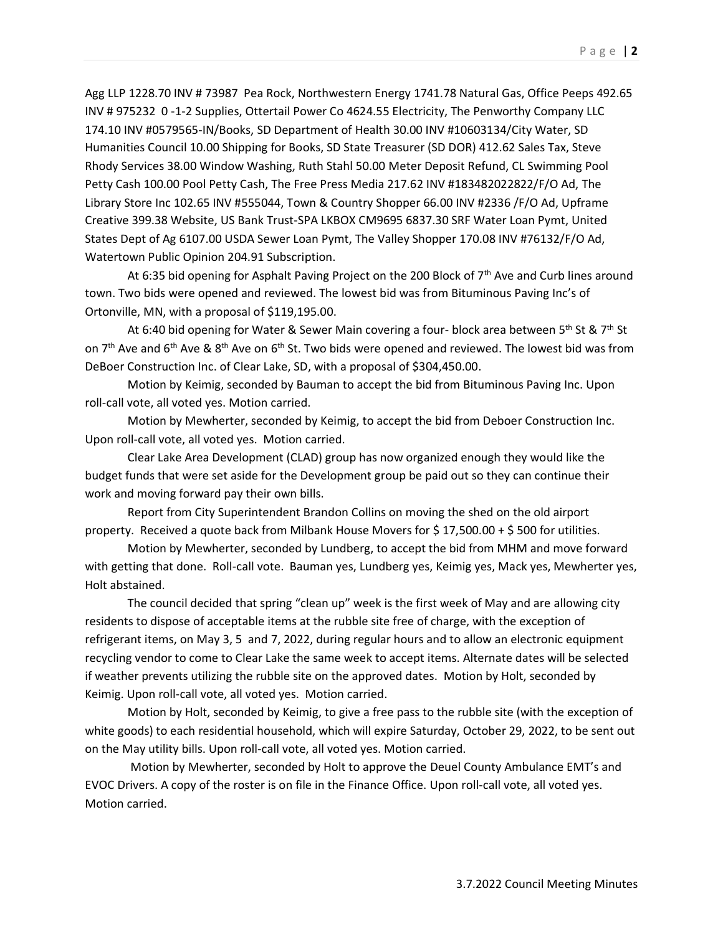Agg LLP 1228.70 INV # 73987 Pea Rock, Northwestern Energy 1741.78 Natural Gas, Office Peeps 492.65 INV # 975232 0 -1-2 Supplies, Ottertail Power Co 4624.55 Electricity, The Penworthy Company LLC 174.10 INV #0579565-IN/Books, SD Department of Health 30.00 INV #10603134/City Water, SD Humanities Council 10.00 Shipping for Books, SD State Treasurer (SD DOR) 412.62 Sales Tax, Steve Rhody Services 38.00 Window Washing, Ruth Stahl 50.00 Meter Deposit Refund, CL Swimming Pool Petty Cash 100.00 Pool Petty Cash, The Free Press Media 217.62 INV #183482022822/F/O Ad, The Library Store Inc 102.65 INV #555044, Town & Country Shopper 66.00 INV #2336 /F/O Ad, Upframe Creative 399.38 Website, US Bank Trust-SPA LKBOX CM9695 6837.30 SRF Water Loan Pymt, United States Dept of Ag 6107.00 USDA Sewer Loan Pymt, The Valley Shopper 170.08 INV #76132/F/O Ad, Watertown Public Opinion 204.91 Subscription.

At 6:35 bid opening for Asphalt Paving Project on the 200 Block of  $7<sup>th</sup>$  Ave and Curb lines around town. Two bids were opened and reviewed. The lowest bid was from Bituminous Paving Inc's of Ortonville, MN, with a proposal of \$119,195.00.

At 6:40 bid opening for Water & Sewer Main covering a four- block area between 5<sup>th</sup> St & 7<sup>th</sup> St on 7<sup>th</sup> Ave and 6<sup>th</sup> Ave & 8<sup>th</sup> Ave on 6<sup>th</sup> St. Two bids were opened and reviewed. The lowest bid was from DeBoer Construction Inc. of Clear Lake, SD, with a proposal of \$304,450.00.

Motion by Keimig, seconded by Bauman to accept the bid from Bituminous Paving Inc. Upon roll-call vote, all voted yes. Motion carried.

 Motion by Mewherter, seconded by Keimig, to accept the bid from Deboer Construction Inc. Upon roll-call vote, all voted yes. Motion carried.

Clear Lake Area Development (CLAD) group has now organized enough they would like the budget funds that were set aside for the Development group be paid out so they can continue their work and moving forward pay their own bills.

Report from City Superintendent Brandon Collins on moving the shed on the old airport property. Received a quote back from Milbank House Movers for \$ 17,500.00 + \$ 500 for utilities.

Motion by Mewherter, seconded by Lundberg, to accept the bid from MHM and move forward with getting that done. Roll-call vote. Bauman yes, Lundberg yes, Keimig yes, Mack yes, Mewherter yes, Holt abstained.

The council decided that spring "clean up" week is the first week of May and are allowing city residents to dispose of acceptable items at the rubble site free of charge, with the exception of refrigerant items, on May 3, 5 and 7, 2022, during regular hours and to allow an electronic equipment recycling vendor to come to Clear Lake the same week to accept items. Alternate dates will be selected if weather prevents utilizing the rubble site on the approved dates. Motion by Holt, seconded by Keimig. Upon roll-call vote, all voted yes. Motion carried.

Motion by Holt, seconded by Keimig, to give a free pass to the rubble site (with the exception of white goods) to each residential household, which will expire Saturday, October 29, 2022, to be sent out on the May utility bills. Upon roll-call vote, all voted yes. Motion carried.

Motion by Mewherter, seconded by Holt to approve the Deuel County Ambulance EMT's and EVOC Drivers. A copy of the roster is on file in the Finance Office. Upon roll-call vote, all voted yes. Motion carried.